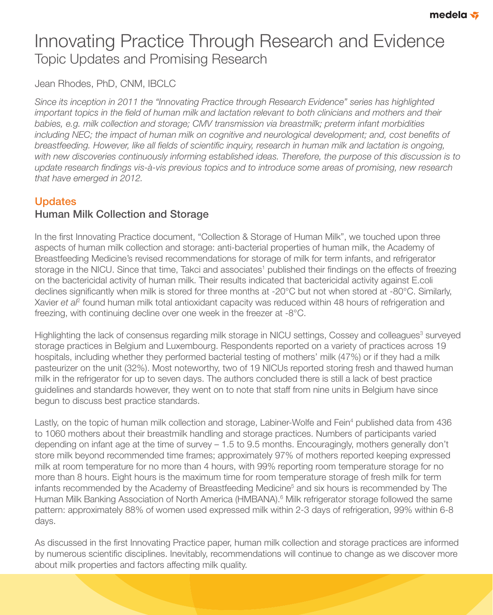# Innovating Practice Through Research and Evidence Topic Updates and Promising Research

Jean Rhodes, PhD, CNM, IBCLC

*Since its inception in 2011 the "Innovating Practice through Research Evidence" series has highlighted*  important topics in the field of human milk and lactation relevant to both clinicians and mothers and their *babies, e.g. milk collection and storage; CMV transmission via breastmilk; preterm infant morbidities*  including NEC; the impact of human milk on cognitive and neurological development; and, cost benefits of *breastfeeding. However, like all fields of scientific inquiry, research in human milk and lactation is ongoing,* with new discoveries continuously informing established ideas. Therefore, the purpose of this discussion is to update research findings vis-à-vis previous topics and to introduce some areas of promising, new research *that have emerged in 2012.*

# **Updates** Human Milk Collection and Storage

In the first Innovating Practice document, "Collection & Storage of Human Milk", we touched upon three aspects of human milk collection and storage: anti-bacterial properties of human milk, the Academy of Breastfeeding Medicine's revised recommendations for storage of milk for term infants, and refrigerator storage in the NICU. Since that time, Takci and associates<sup>1</sup> published their findings on the effects of freezing on the bactericidal activity of human milk. Their results indicated that bactericidal activity against E.coli declines significantly when milk is stored for three months at -20°C but not when stored at -80°C. Similarly, Xavier et a<sup>p</sup> found human milk total antioxidant capacity was reduced within 48 hours of refrigeration and freezing, with continuing decline over one week in the freezer at -8°C.

Highlighting the lack of consensus regarding milk storage in NICU settings, Cossey and colleagues<sup>3</sup> surveyed storage practices in Belgium and Luxembourg. Respondents reported on a variety of practices across 19 hospitals, including whether they performed bacterial testing of mothers' milk (47%) or if they had a milk pasteurizer on the unit (32%). Most noteworthy, two of 19 NICUs reported storing fresh and thawed human milk in the refrigerator for up to seven days. The authors concluded there is still a lack of best practice guidelines and standards however, they went on to note that staff from nine units in Belgium have since begun to discuss best practice standards.

Lastly, on the topic of human milk collection and storage, Labiner-Wolfe and Fein<sup>4</sup> published data from 436 to 1060 mothers about their breastmilk handling and storage practices. Numbers of participants varied depending on infant age at the time of survey – 1.5 to 9.5 months. Encouragingly, mothers generally don't store milk beyond recommended time frames; approximately 97% of mothers reported keeping expressed milk at room temperature for no more than 4 hours, with 99% reporting room temperature storage for no more than 8 hours. Eight hours is the maximum time for room temperature storage of fresh milk for term infants recommended by the Academy of Breastfeeding Medicine<sup>5</sup> and six hours is recommended by The Human Milk Banking Association of North America (HMBANA).<sup>6</sup> Milk refrigerator storage followed the same pattern: approximately 88% of women used expressed milk within 2-3 days of refrigeration, 99% within 6-8 days.

As discussed in the first Innovating Practice paper, human milk collection and storage practices are informed by numerous scientific disciplines. Inevitably, recommendations will continue to change as we discover more about milk properties and factors affecting milk quality.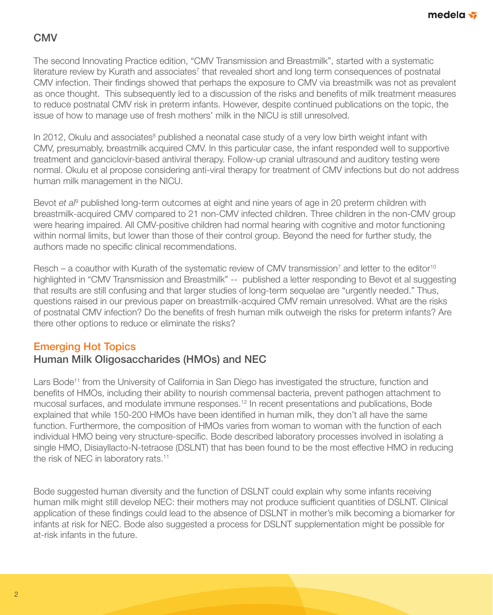# **CMV**

The second Innovating Practice edition, "CMV Transmission and Breastmilk", started with a systematic literature review by Kurath and associates<sup>7</sup> that revealed short and long term consequences of postnatal CMV infection. Their findings showed that perhaps the exposure to CMV via breastmilk was not as prevalent as once thought. This subsequently led to a discussion of the risks and benefits of milk treatment measures to reduce postnatal CMV risk in preterm infants. However, despite continued publications on the topic, the issue of how to manage use of fresh mothers' milk in the NICU is still unresolved.

In 2012, Okulu and associates<sup>8</sup> published a neonatal case study of a very low birth weight infant with CMV, presumably, breastmilk acquired CMV. In this particular case, the infant responded well to supportive treatment and ganciclovir-based antiviral therapy. Follow-up cranial ultrasound and auditory testing were normal. Okulu et al propose considering anti-viral therapy for treatment of CMV infections but do not address human milk management in the NICU.

Bevot et al<sup>9</sup> published long-term outcomes at eight and nine years of age in 20 preterm children with breastmilk-acquired CMV compared to 21 non-CMV infected children. Three children in the non-CMV group were hearing impaired. All CMV-positive children had normal hearing with cognitive and motor functioning within normal limits, but lower than those of their control group. Beyond the need for further study, the authors made no specific clinical recommendations.

Resch – a coauthor with Kurath of the systematic review of CMV transmission<sup>7</sup> and letter to the editor<sup>10</sup> highlighted in "CMV Transmission and Breastmilk" -- published a letter responding to Bevot et al suggesting that results are still confusing and that larger studies of long-term sequelae are "urgently needed." Thus, questions raised in our previous paper on breastmilk-acquired CMV remain unresolved. What are the risks of postnatal CMV infection? Do the benefits of fresh human milk outweigh the risks for preterm infants? Are there other options to reduce or eliminate the risks?

#### Emerging Hot Topics

## Human Milk Oligosaccharides (HMOs) and NEC

Lars Bode<sup>11</sup> from the University of California in San Diego has investigated the structure, function and benefits of HMOs, including their ability to nourish commensal bacteria, prevent pathogen attachment to mucosal surfaces, and modulate immune responses.12 In recent presentations and publications, Bode explained that while 150-200 HMOs have been identified in human milk, they don't all have the same function. Furthermore, the composition of HMOs varies from woman to woman with the function of each individual HMO being very structure-specific. Bode described laboratory processes involved in isolating a single HMO, Disiayllacto-N-tetraose (DSLNT) that has been found to be the most effective HMO in reducing the risk of NEC in laboratory rats.<sup>11</sup>

Bode suggested human diversity and the function of DSLNT could explain why some infants receiving human milk might still develop NEC: their mothers may not produce sufficient quantities of DSLNT. Clinical application of these findings could lead to the absence of DSLNT in mother's milk becoming a biomarker for infants at risk for NEC. Bode also suggested a process for DSLNT supplementation might be possible for at-risk infants in the future.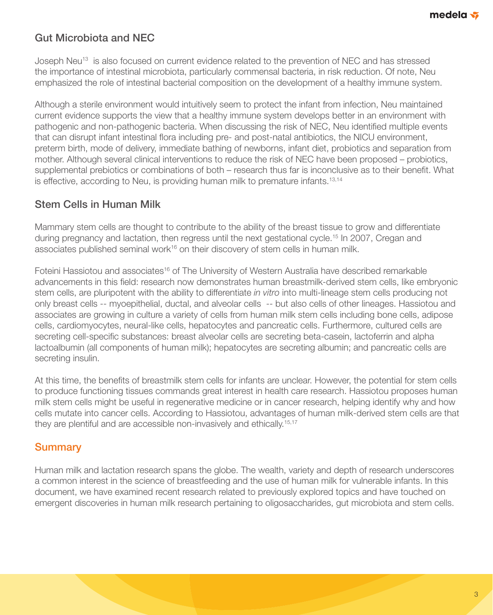# Gut Microbiota and NEC

Joseph Neu<sup>13</sup> is also focused on current evidence related to the prevention of NEC and has stressed the importance of intestinal microbiota, particularly commensal bacteria, in risk reduction. Of note, Neu emphasized the role of intestinal bacterial composition on the development of a healthy immune system.

Although a sterile environment would intuitively seem to protect the infant from infection, Neu maintained current evidence supports the view that a healthy immune system develops better in an environment with pathogenic and non-pathogenic bacteria. When discussing the risk of NEC, Neu identified multiple events that can disrupt infant intestinal flora including pre- and post-natal antibiotics, the NICU environment, preterm birth, mode of delivery, immediate bathing of newborns, infant diet, probiotics and separation from mother. Although several clinical interventions to reduce the risk of NEC have been proposed – probiotics, supplemental prebiotics or combinations of both – research thus far is inconclusive as to their benefit. What is effective, according to Neu, is providing human milk to premature infants.<sup>13,14</sup>

#### Stem Cells in Human Milk

Mammary stem cells are thought to contribute to the ability of the breast tissue to grow and differentiate during pregnancy and lactation, then regress until the next gestational cycle.<sup>15</sup> In 2007, Cregan and associates published seminal work<sup>16</sup> on their discovery of stem cells in human milk.

Foteini Hassiotou and associates<sup>16</sup> of The University of Western Australia have described remarkable advancements in this field: research now demonstrates human breastmilk-derived stem cells, like embryonic stem cells, are pluripotent with the ability to differentiate *in vitro* into multi-lineage stem cells producing not only breast cells -- myoepithelial, ductal, and alveolar cells -- but also cells of other lineages. Hassiotou and associates are growing in culture a variety of cells from human milk stem cells including bone cells, adipose cells, cardiomyocytes, neural-like cells, hepatocytes and pancreatic cells. Furthermore, cultured cells are secreting cell-specific substances: breast alveolar cells are secreting beta-casein, lactoferrin and alpha lactoalbumin (all components of human milk); hepatocytes are secreting albumin; and pancreatic cells are secreting insulin.

At this time, the benefits of breastmilk stem cells for infants are unclear. However, the potential for stem cells to produce functioning tissues commands great interest in health care research. Hassiotou proposes human milk stem cells might be useful in regenerative medicine or in cancer research, helping identify why and how cells mutate into cancer cells. According to Hassiotou, advantages of human milk-derived stem cells are that they are plentiful and are accessible non-invasively and ethically.15,17

#### **Summary**

Human milk and lactation research spans the globe. The wealth, variety and depth of research underscores a common interest in the science of breastfeeding and the use of human milk for vulnerable infants. In this document, we have examined recent research related to previously explored topics and have touched on emergent discoveries in human milk research pertaining to oligosaccharides, gut microbiota and stem cells.